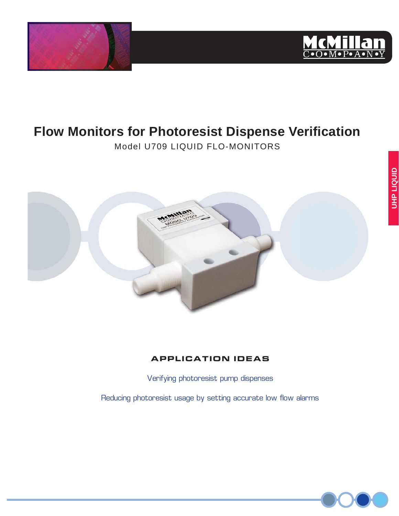



# **Flow Monitors for Photoresist Dispense Verification**

Model U709 LIQUID FLO-MONITORS



### **APPLICATION IDEAS**

Verifying photoresist pump dispenses

Reducing photoresist usage by setting accurate low flow alarms

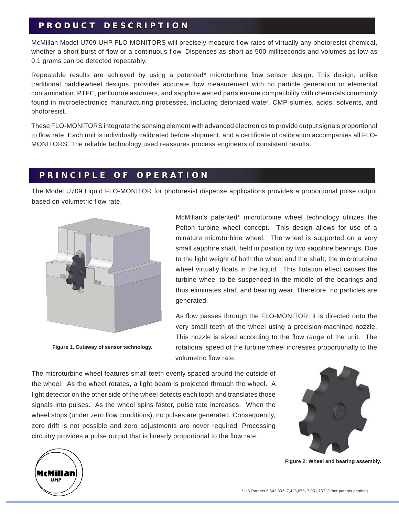### **PRODUCT DESCRIPTION R O D U C T D E S C R I P T I O N**

McMillan Model U709 UHP FLO-MONITORS will precisely measure flow rates of virtually any photoresist chemical, whether a short burst of flow or a continuous flow. Dispenses as short as 500 milliseconds and volumes as low as 0.1 grams can be detected repeatably.

Repeatable results are achieved by using a patented\* microturbine flow sensor design. This design, unlike traditional paddlewheel designs, provides accurate flow measurement with no particle generation or elemental contamination. PTFE, perfluoroelastomers, and sapphire wetted parts ensure compatibility with chemicals commonly found in microelectronics manufacturing processes, including deionized water, CMP slurries, acids, solvents, and photoresist.

These FLO-MONITORS integrate the sensing element with advanced electronics to provide output signals proportional to flow rate. Each unit is individually calibrated before shipment, and a certificate of calibration accompanies all FLO-MONITORS. The reliable technology used reassures process engineers of consistent results.

### **PRINCIPLE OF OPERATION R I N C I P L E O F O P E R A T I O N**

The Model U709 Liquid FLO-MONITOR for photoresist dispense applications provides a proportional pulse output based on volumetric flow rate.



**Figure 1. Cutaway of sensor technology.**

UHP

McMillan's patented\* microturbine wheel technology utilizes the Pelton turbine wheel concept. This design allows for use of a minature microturbine wheel. The wheel is supported on a very small sapphire shaft, held in position by two sapphire bearings. Due to the light weight of both the wheel and the shaft, the microturbine wheel virtually floats in the liquid. This flotation effect causes the turbine wheel to be suspended in the middle of the bearings and thus eliminates shaft and bearing wear. Therefore, no particles are generated.

As flow passes through the FLO-MONITOR, it is directed onto the very small teeth of the wheel using a precision-machined nozzle. This nozzle is sized according to the flow range of the unit. The rotational speed of the turbine wheel increases proportionally to the volumetric flow rate.

The microturbine wheel features small teeth evenly spaced around the outside of the wheel. As the wheel rotates, a light beam is projected through the wheel. A light detector on the other side of the wheel detects each tooth and translates those signals into pulses. As the wheel spins faster, pulse rate increases. When the wheel stops (under zero flow conditions), no pulses are generated. Consequently, zero drift is not possible and zero adjustments are never required. Processing circuitry provides a pulse output that is linearly proportional to the flow rate.



**Figure 2: Wheel and bearing assembly.**

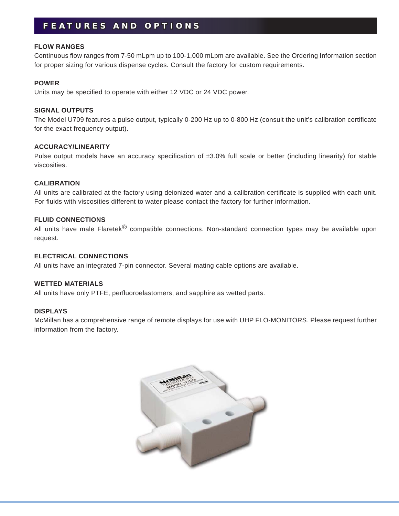### **FEATURES AND OPTIONS E A T U R E S A N D O P T I O N S**

#### **FLOW RANGES**

Continuous flow ranges from 7-50 mLpm up to 100-1,000 mLpm are available. See the Ordering Information section for proper sizing for various dispense cycles. Consult the factory for custom requirements.

#### **POWER**

Units may be specified to operate with either 12 VDC or 24 VDC power.

#### **SIGNAL OUTPUTS**

The Model U709 features a pulse output, typically 0-200 Hz up to 0-800 Hz (consult the unit's calibration certificate for the exact frequency output).

#### **ACCURACY/LINEARITY**

Pulse output models have an accuracy specification of  $\pm 3.0\%$  full scale or better (including linearity) for stable viscosities.

#### **CALIBRATION**

All units are calibrated at the factory using deionized water and a calibration certificate is supplied with each unit. For fluids with viscosities different to water please contact the factory for further information.

#### **FLUID CONNECTIONS**

All units have male Flaretek<sup>®</sup> compatible connections. Non-standard connection types may be available upon request.

#### **ELECTRICAL CONNECTIONS**

All units have an integrated 7-pin connector. Several mating cable options are available.

#### **WETTED MATERIALS**

All units have only PTFE, perfluoroelastomers, and sapphire as wetted parts.

#### **DISPLAYS**

McMillan has a comprehensive range of remote displays for use with UHP FLO-MONITORS. Please request further information from the factory.

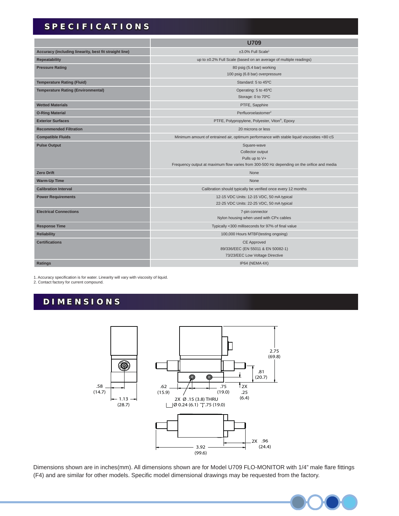## **SPECIFICATIONS P E C I F I C A T I O N S**

|                                                        | <b>U709</b>                                                                                                                                     |
|--------------------------------------------------------|-------------------------------------------------------------------------------------------------------------------------------------------------|
| Accuracy (including linearity, best fit straight line) | ±3.0% Full Scale <sup>1</sup>                                                                                                                   |
| <b>Repeatability</b>                                   | up to ±0.2% Full Scale (based on an average of multiple readings)                                                                               |
| <b>Pressure Rating</b>                                 | 80 psig (5.4 bar) working<br>100 psig (6.8 bar) overpressure                                                                                    |
| <b>Temperature Rating (Fluid)</b>                      | Standard: 5 to 45°C                                                                                                                             |
| <b>Temperature Rating (Environmental)</b>              | Operating: 5 to 45°C<br>Storage: 0 to 70°C                                                                                                      |
| <b>Wetted Materials</b>                                | PTFE, Sapphire                                                                                                                                  |
| <b>O-Ring Material</b>                                 | Perfluoroelastomer <sup>2</sup>                                                                                                                 |
| <b>Exterior Surfaces</b>                               | PTFE, Polypropylene, Polyester, Viton®, Epoxy                                                                                                   |
| <b>Recommended Filtration</b>                          | 20 microns or less                                                                                                                              |
| <b>Compatible Fluids</b>                               | Minimum amount of entrained air, optimum performance with stable liquid viscosities <80 cS                                                      |
| <b>Pulse Output</b>                                    | Square-wave<br>Collector output<br>Pulls up to V+<br>Frequency output at maximum flow varies from 300-500 Hz depending on the orifice and media |
| <b>Zero Drift</b>                                      | None                                                                                                                                            |
| <b>Warm-Up Time</b>                                    | None                                                                                                                                            |
| <b>Calibration Interval</b>                            | Calibration should typically be verified once every 12 months                                                                                   |
| <b>Power Requirements</b>                              | 12-15 VDC Units: 12-15 VDC, 50 mA typical<br>22-25 VDC Units: 22-25 VDC, 50 mA typical                                                          |
| <b>Electrical Connections</b>                          | 7-pin connector<br>Nylon housing when used with CPx cables                                                                                      |
| <b>Response Time</b>                                   | Typically <300 milliseconds for 97% of final value                                                                                              |
| <b>Reliability</b>                                     | 100,000 Hours MTBF (testing ongoing)                                                                                                            |
| <b>Certifications</b>                                  | <b>CE Approved</b><br>89/336/EEC (EN 55011 & EN 50082-1)<br>73/23/EEC Low Voltage Directive                                                     |
| <b>Ratings</b>                                         | IP64 (NEMA 4X)                                                                                                                                  |

1. Accuracy specification is for water. Linearity will vary with viscosity of liquid.<br>2. Contact factory for current compound.

### **DIMENSIONS I M E N S I O N S**



Dimensions shown are in inches(mm). All dimensions shown are for Model U709 FLO-MONITOR with 1/4" male flare fittings (F4) and are similar for other models. Specific model dimensional drawings may be requested from the factory.

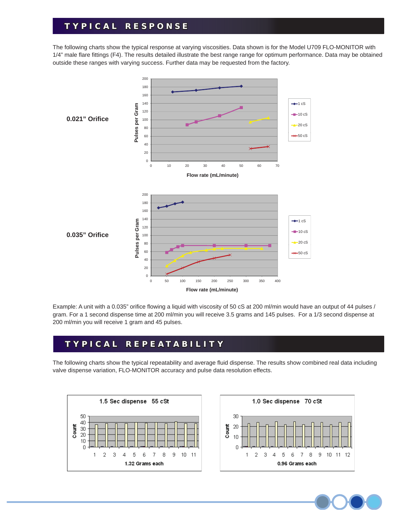### **TYPICAL RESPONSE Y P I C A L R E S P O N S E**

The following charts show the typical response at varying viscosities. Data shown is for the Model U709 FLO-MONITOR with 1/4" male flare fittings (F4). The results detailed illustrate the best range range for optimum performance. Data may be obtained outside these ranges with varying success. Further data may be requested from the factory.



Example: A unit with a 0.035" orifice flowing a liquid with viscosity of 50 cS at 200 ml/min would have an output of 44 pulses / gram. For a 1 second dispense time at 200 ml/min you will receive 3.5 grams and 145 pulses. For a 1/3 second dispense at 200 ml/min you will receive 1 gram and 45 pulses.

### **TYPICAL REPEATABILITY Y P I C A L R E P E A T A B I L I T Y**

The following charts show the typical repeatability and average fluid dispense. The results show combined real data including valve dispense variation, FLO-MONITOR accuracy and pulse data resolution effects.